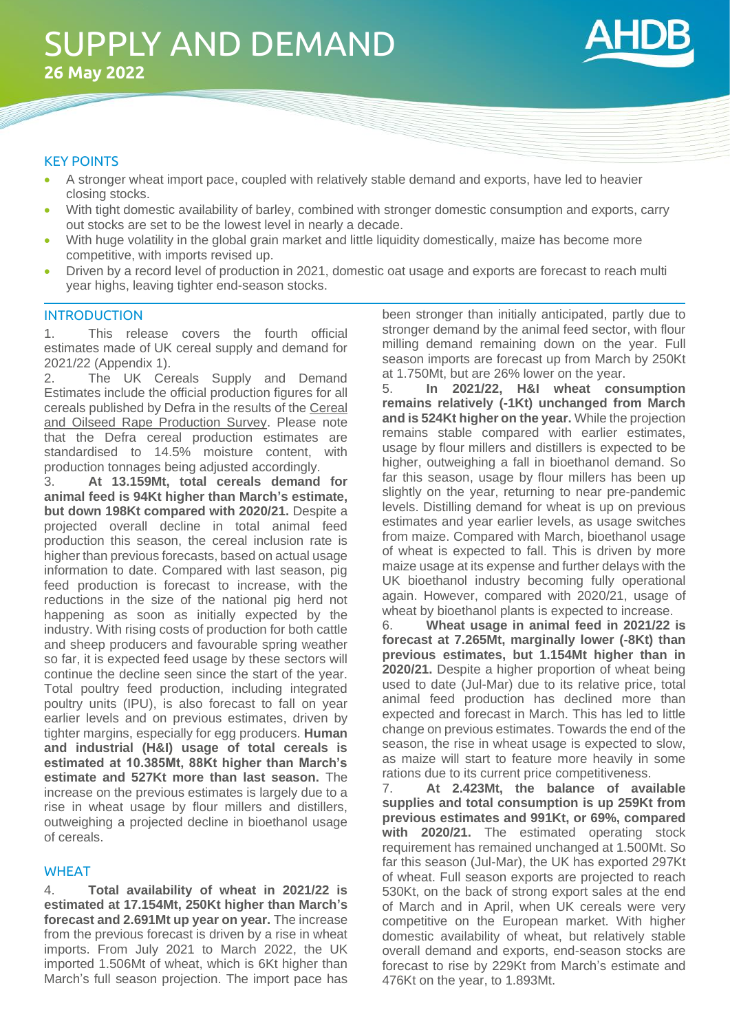

# KEY POINTS

- A stronger wheat import pace, coupled with relatively stable demand and exports, have led to heavier closing stocks.
- With tight domestic availability of barley, combined with stronger domestic consumption and exports, carry out stocks are set to be the lowest level in nearly a decade.
- With huge volatility in the global grain market and little liquidity domestically, maize has become more competitive, with imports revised up.
- Driven by a record level of production in 2021, domestic oat usage and exports are forecast to reach multi year highs, leaving tighter end-season stocks.

# **INTRODUCTION**

1. This release covers the fourth official estimates made of UK cereal supply and demand for 2021/22 (Appendix 1).

2. The UK Cereals Supply and Demand Estimates include the official production figures for all cereals published by Defra in the results of th[e Cereal](https://www.gov.uk/government/statistics/farming-statistics-final-crop-areas-yields-livestock-populations-and-agricultural-workforce-at-1-june-2020-uk)  [and Oilseed Rape Production Survey.](https://www.gov.uk/government/statistics/farming-statistics-final-crop-areas-yields-livestock-populations-and-agricultural-workforce-at-1-june-2020-uk) Please note that the Defra cereal production estimates are standardised to 14.5% moisture content, with production tonnages being adjusted accordingly.

3. **At 13.159Mt, total cereals demand for animal feed is 94Kt higher than March's estimate, but down 198Kt compared with 2020/21.** Despite a projected overall decline in total animal feed production this season, the cereal inclusion rate is higher than previous forecasts, based on actual usage information to date. Compared with last season, pig feed production is forecast to increase, with the reductions in the size of the national pig herd not happening as soon as initially expected by the industry. With rising costs of production for both cattle and sheep producers and favourable spring weather so far, it is expected feed usage by these sectors will continue the decline seen since the start of the year. Total poultry feed production, including integrated poultry units (IPU), is also forecast to fall on year earlier levels and on previous estimates, driven by tighter margins, especially for egg producers. **Human and industrial (H&I) usage of total cereals is estimated at 10.385Mt, 88Kt higher than March's estimate and 527Kt more than last season.** The increase on the previous estimates is largely due to a rise in wheat usage by flour millers and distillers, outweighing a projected decline in bioethanol usage of cereals.

# WHEAT

4. **Total availability of wheat in 2021/22 is estimated at 17.154Mt, 250Kt higher than March's forecast and 2.691Mt up year on year.** The increase from the previous forecast is driven by a rise in wheat imports. From July 2021 to March 2022, the UK imported 1.506Mt of wheat, which is 6Kt higher than March's full season projection. The import pace has been stronger than initially anticipated, partly due to stronger demand by the animal feed sector, with flour milling demand remaining down on the year. Full season imports are forecast up from March by 250Kt at 1.750Mt, but are 26% lower on the year.

5. **In 2021/22, H&I wheat consumption remains relatively (-1Kt) unchanged from March and is 524Kt higher on the year.** While the projection remains stable compared with earlier estimates, usage by flour millers and distillers is expected to be higher, outweighing a fall in bioethanol demand. So far this season, usage by flour millers has been up slightly on the year, returning to near pre-pandemic levels. Distilling demand for wheat is up on previous estimates and year earlier levels, as usage switches from maize. Compared with March, bioethanol usage of wheat is expected to fall. This is driven by more maize usage at its expense and further delays with the UK bioethanol industry becoming fully operational again. However, compared with 2020/21, usage of wheat by bioethanol plants is expected to increase.

6. **Wheat usage in animal feed in 2021/22 is forecast at 7.265Mt, marginally lower (-8Kt) than previous estimates, but 1.154Mt higher than in 2020/21.** Despite a higher proportion of wheat being used to date (Jul-Mar) due to its relative price, total animal feed production has declined more than expected and forecast in March. This has led to little change on previous estimates. Towards the end of the season, the rise in wheat usage is expected to slow, as maize will start to feature more heavily in some rations due to its current price competitiveness.

7. **At 2.423Mt, the balance of available supplies and total consumption is up 259Kt from previous estimates and 991Kt, or 69%, compared with 2020/21.** The estimated operating stock requirement has remained unchanged at 1.500Mt. So far this season (Jul-Mar), the UK has exported 297Kt of wheat. Full season exports are projected to reach 530Kt, on the back of strong export sales at the end of March and in April, when UK cereals were very competitive on the European market. With higher domestic availability of wheat, but relatively stable overall demand and exports, end-season stocks are forecast to rise by 229Kt from March's estimate and 476Kt on the year, to 1.893Mt.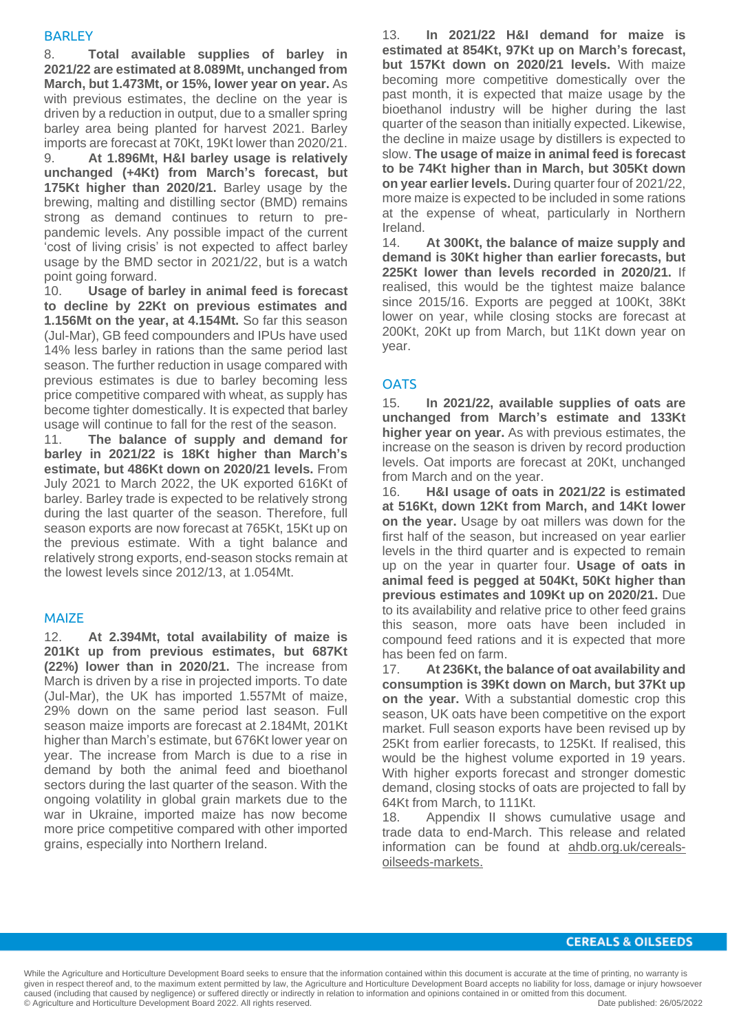# **BARLEY**

8. **Total available supplies of barley in 2021/22 are estimated at 8.089Mt, unchanged from March, but 1.473Mt, or 15%, lower year on year.** As with previous estimates, the decline on the year is driven by a reduction in output, due to a smaller spring barley area being planted for harvest 2021. Barley imports are forecast at 70Kt, 19Kt lower than 2020/21.

9. **At 1.896Mt, H&I barley usage is relatively unchanged (+4Kt) from March's forecast, but 175Kt higher than 2020/21.** Barley usage by the brewing, malting and distilling sector (BMD) remains strong as demand continues to return to prepandemic levels. Any possible impact of the current 'cost of living crisis' is not expected to affect barley usage by the BMD sector in 2021/22, but is a watch point going forward.

10. **Usage of barley in animal feed is forecast to decline by 22Kt on previous estimates and 1.156Mt on the year, at 4.154Mt.** So far this season (Jul-Mar), GB feed compounders and IPUs have used 14% less barley in rations than the same period last season. The further reduction in usage compared with previous estimates is due to barley becoming less price competitive compared with wheat, as supply has become tighter domestically. It is expected that barley usage will continue to fall for the rest of the season.

11. **The balance of supply and demand for barley in 2021/22 is 18Kt higher than March's estimate, but 486Kt down on 2020/21 levels.** From July 2021 to March 2022, the UK exported 616Kt of barley. Barley trade is expected to be relatively strong during the last quarter of the season. Therefore, full season exports are now forecast at 765Kt, 15Kt up on the previous estimate. With a tight balance and relatively strong exports, end-season stocks remain at the lowest levels since 2012/13, at 1.054Mt.

# MAIZE

12. **At 2.394Mt, total availability of maize is 201Kt up from previous estimates, but 687Kt (22%) lower than in 2020/21.** The increase from March is driven by a rise in projected imports. To date (Jul-Mar), the UK has imported 1.557Mt of maize, 29% down on the same period last season. Full season maize imports are forecast at 2.184Mt, 201Kt higher than March's estimate, but 676Kt lower year on year. The increase from March is due to a rise in demand by both the animal feed and bioethanol sectors during the last quarter of the season. With the ongoing volatility in global grain markets due to the war in Ukraine, imported maize has now become more price competitive compared with other imported grains, especially into Northern Ireland.

13. **In 2021/22 H&I demand for maize is estimated at 854Kt, 97Kt up on March's forecast, but 157Kt down on 2020/21 levels.** With maize becoming more competitive domestically over the past month, it is expected that maize usage by the bioethanol industry will be higher during the last quarter of the season than initially expected. Likewise, the decline in maize usage by distillers is expected to slow. **The usage of maize in animal feed is forecast to be 74Kt higher than in March, but 305Kt down on year earlier levels.** During quarter four of 2021/22, more maize is expected to be included in some rations at the expense of wheat, particularly in Northern Ireland.

14. **At 300Kt, the balance of maize supply and demand is 30Kt higher than earlier forecasts, but 225Kt lower than levels recorded in 2020/21.** If realised, this would be the tightest maize balance since 2015/16. Exports are pegged at 100Kt, 38Kt lower on year, while closing stocks are forecast at 200Kt, 20Kt up from March, but 11Kt down year on year.

# **OATS**

15. **In 2021/22, available supplies of oats are unchanged from March's estimate and 133Kt higher year on year.** As with previous estimates, the increase on the season is driven by record production levels. Oat imports are forecast at 20Kt, unchanged from March and on the year.

16. **H&I usage of oats in 2021/22 is estimated at 516Kt, down 12Kt from March, and 14Kt lower on the year.** Usage by oat millers was down for the first half of the season, but increased on year earlier levels in the third quarter and is expected to remain up on the year in quarter four. **Usage of oats in animal feed is pegged at 504Kt, 50Kt higher than previous estimates and 109Kt up on 2020/21.** Due to its availability and relative price to other feed grains this season, more oats have been included in compound feed rations and it is expected that more has been fed on farm.

17. **At 236Kt, the balance of oat availability and consumption is 39Kt down on March, but 37Kt up on the year.** With a substantial domestic crop this season, UK oats have been competitive on the export market. Full season exports have been revised up by 25Kt from earlier forecasts, to 125Kt. If realised, this would be the highest volume exported in 19 years. With higher exports forecast and stronger domestic demand, closing stocks of oats are projected to fall by 64Kt from March, to 111Kt.

18. Appendix II shows cumulative usage and trade data to end-March. This release and related information can be found at [ahdb.org.uk/cereals](https://ahdb.org.uk/cereals-oilseeds-markets)[oilseeds-markets.](https://ahdb.org.uk/cereals-oilseeds-markets)

# **CEREALS & OILSEEDS**

While the Agriculture and Horticulture Development Board seeks to ensure that the information contained within this document is accurate at the time of printing, no warranty is given in respect thereof and, to the maximum extent permitted by law, the Agriculture and Horticulture Development Board accepts no liability for loss, damage or injury howsoever caused (including that caused by negligence) or suffered directly or indirectly in relation to information and opinions contained in or omitted from this document.<br>© Agriculture and Horticulture Development Board 2022, All © Agriculture and Horticulture Development Board 2022. All rights reserved.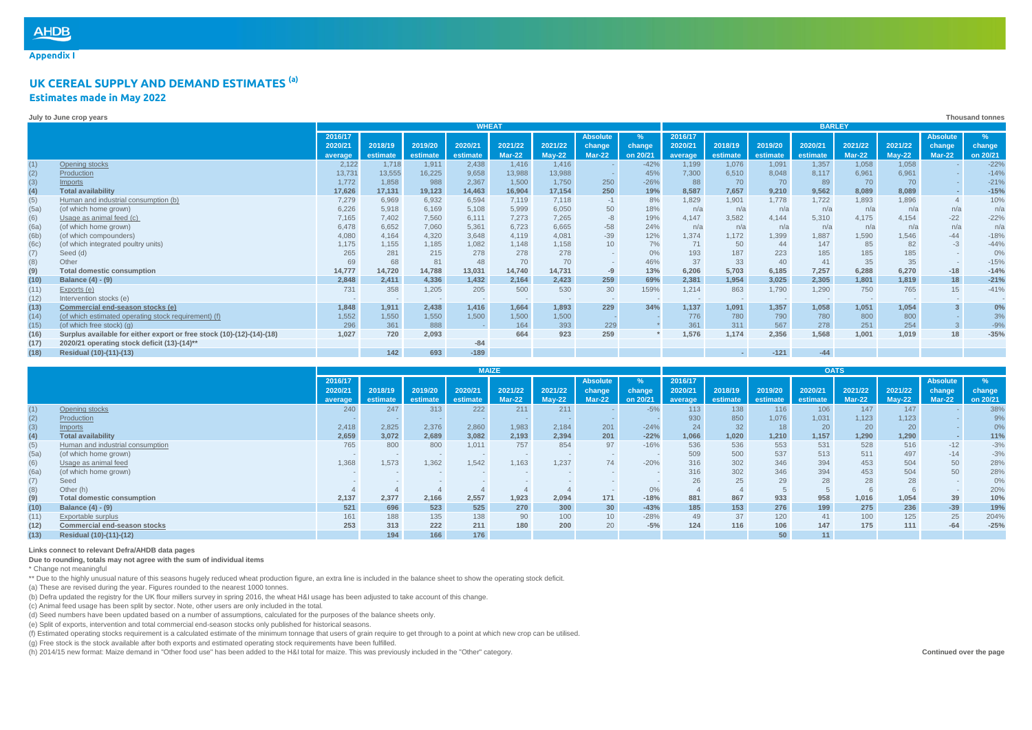**Appendix I**

## **UK CEREAL SUPPLY AND DEMAND ESTIMATES (a) Estimates made in May 2022**

|      | Thousand tonnes<br>July to June crop years                            |                               |          |          |                |               |          |                 |          |         |          |          |          |          |          |               |                 |
|------|-----------------------------------------------------------------------|-------------------------------|----------|----------|----------------|---------------|----------|-----------------|----------|---------|----------|----------|----------|----------|----------|---------------|-----------------|
|      |                                                                       | <b>WHEAT</b><br><b>BARLEY</b> |          |          |                |               |          |                 |          |         |          |          |          |          |          |               |                 |
|      |                                                                       | 2016/17                       |          |          |                |               |          | <b>Absolute</b> | %        | 2016/17 |          |          |          |          |          | Absolute      | $\%$            |
|      |                                                                       | 2020/21                       | 2018/19  | 2019/20  | 2020/21        | 2021/22       | 2021/22  | change          | change   | 2020/21 | 2018/19  | 2019/20  | 2020/21  | 2021/22  | 2021/22  | change        | change          |
|      |                                                                       | average                       | estimate | estimate | estimate       | <b>Mar-22</b> | $May-22$ | <b>Mar-22</b>   | on 20/21 | average | estimate | estimate | estimate | $Mar-22$ | $May-22$ | <b>Mar-22</b> | on 20/21        |
| (1)  | Opening stocks                                                        | 2,122                         | 1,718    | 1.911    | 2,438          | 1,416         | 1.416    |                 | $-42%$   | 1.199   | 1,076    | 1,091    | 1.357    | 1,058    | 1,058    |               | $-22%$          |
| (2)  | Production                                                            | 13,73'                        | 13,555   | 16,225   | 9,658          | 13,988        | 13,988   |                 | 45%      | 7,300   | 6,510    | 8,048    | 8,117    | 6,961    | 6.961    |               | $-14%$          |
| (3)  | <b>Imports</b>                                                        | 1,772                         | 1,858    | 988      | 2,367          | 1,500         | 1,750    | 250             | $-26%$   | 88      | 70       | 70       | 89       | 70       | 70       |               | $-21%$          |
| (4)  | <b>Total availability</b>                                             | 17,626                        | 17,131   | 19,123   | 14,463         | 16,904        | 17,154   | 250             | 19%      | 8,587   | 7,657    | 9,210    | 9,562    | 8,089    | 8,089    |               | $-15%$          |
| (5)  | Human and industrial consumption (b)                                  | 7,279                         | 6,969    | 6,932    | 6,594          | 7,119         | 7.118    | $-1$            | 8%       | 1,829   | 1,901    | 1,778    | 1,722    | 1,893    | 1,896    |               | 10%             |
| (5a) | (of which home grown)                                                 | 6,226                         | 5,918    | 6.169    | 5,108          | 5,999         | 6,050    | 50              | 18%      | n/a     | n/a      | n/a      | n/a      | n/a      | n/a      |               | $n/\varepsilon$ |
| (6)  | Usage as animal feed (c)                                              | 7,165                         | 7,402    | 7.560    | 6,111          | 7.273         | 7.265    | $-8$            | 19%      | 4.147   | 3,582    | 4.144    | 5.310    | 4,175    | 4,154    | $-22$         | $-22%$          |
| (6a) | (of which home grown)                                                 | 6,478                         | 6,652    | 7,060    | 5,361          | 6,723         | 6,665    | $-58$           | 24%      | n/a     | n/a      | n/a      | n/a      | n/a      | n/a      | n/a           | $n/\varepsilon$ |
| (6b) | (of which compounders)                                                | 4,080                         | 4,164    | 4,320    | 3,648          | 4,119         | 4.081    | $-39$           | 12%      | 1.374   | 1,172    | 1,399    | 1.887    | 1,590    | 1,546    |               | $-18%$          |
| (6c) | (of which integrated poultry units)                                   | 1,175                         | 1,155    | 1,185    | 1,082          | 1,148         | 1,158    | 10              | 7%       | 71      | 50       | 44       | 147      | 85       | 82       | $-3$          | $-44%$          |
| (7)  | Seed (d)                                                              | 265                           | 281      | 215      | 278            | 278           | 278      |                 | 0%       | 193     | 187      | 223      | 185      | 185      | 185      |               | 0%              |
| (8)  | Other                                                                 | 69                            | 68       |          | 48             | 70            | 70       |                 | 46%      | 37      | 33       | 40       | 41       | 35       | 35       |               | $-15%$          |
| (9)  | <b>Total domestic consumption</b>                                     | 14,777                        | 14,720   | 14,788   | 13,031         | 14,740        | 14,731   | -9              | 13%      | 6,206   | 5,703    | 6,185    | 7,257    | 6,288    | 6,270    | $-18$         | $-14%$          |
| (10) | Balance (4) - (9)                                                     | 2,848                         | 2,411    | 4,336    | 1,432          | 2,164         | 2,423    | 259             | 69%      | 2,381   | 1,954    | 3,025    | 2,305    | 1,801    | 1,819    | 18            | $-21%$          |
| (11) | Exports (e)                                                           | 731                           | 358      | 1.205    | 205            | 500           | 530      | 30              | 159%     | 1.214   | 863      | 1,790    | 1.290    | 750      | 765      | 15            | $-41%$          |
| (12) | Intervention stocks (e)                                               |                               | $\sim$   | $-$      | $\overline{a}$ | $\sim$        | $\sim$   |                 |          | $\sim$  | $\sim$   |          |          | $\sim$   |          |               |                 |
| (13) | Commercial end-season stocks (e)                                      | 1,848                         | 1,911    | 2.438    | 1,416          | 1,664         | 1.893    | 229             | 34%      | 1.137   | 1,091    | 1,357    | 1,058    | 1,051    | 1.054    |               | 0%              |
| (14) | (of which estimated operating stock requirement) (f)                  | 1,552                         | 1,550    | 1,550    | 1,500          | 1,500         | 1,500    |                 |          | 776     | 780      | 790      | 780      | 800      | 800      |               | 3%              |
| (15) | (of which free stock) (a)                                             | 296                           | 361      | 888      |                | 164           | 393      | 229             |          | 361     | 311      | 567      | 278      | 251      | 254      |               | $-9%$           |
| (16) | Surplus available for either export or free stock (10)-(12)-(14)-(18) | 1,027                         | 720      | 2,093    |                | 664           | 923      | 259             |          | 1,576   | 1,174    | 2,356    | 1,568    | 1,001    | 1,019    | 18            | $-35%$          |
| (17) | 2020/21 operating stock deficit (13)-(14)**                           |                               |          |          | $-84$          |               |          |                 |          |         |          |          |          |          |          |               |                 |
| (18) | Residual (10)-(11)-(13)                                               |                               | 142      | 693      | $-189$         |               |          |                 |          |         |          | $-121$   | $-44$    |          |          |               |                 |

|      |                                   | <b>MAIZE</b> |          |          |                          |          |          |                 | <b>OATS</b>   |         |          |          |          |          |          |                 |          |
|------|-----------------------------------|--------------|----------|----------|--------------------------|----------|----------|-----------------|---------------|---------|----------|----------|----------|----------|----------|-----------------|----------|
|      |                                   | 2016/17      |          |          |                          |          |          | Absolute        | $\frac{9}{6}$ | 2016/17 |          |          |          |          |          | <b>Absolute</b> |          |
|      |                                   | 2020/21      | 2018/19  | 2019/20  | 2020/21                  | 2021/22  | 2021/22  | change          | change        | 2020/21 | 2018/19  | 2019/20  | 2020/21  | 2021/22  | 2021/22  | change          | change   |
|      |                                   | average      | estimate | estimate | estimate                 | $Mar-22$ | $May-22$ | $Mar-22$        | on 20/21      | average | estimate | estimate | estimate | $Mar-22$ | $Mav-22$ | $Mar-22$        | on 20/21 |
| (1)  | Opening stocks                    | 240          | 247      | 313      | 222                      | 211      | 211      |                 | $-5%$         | 113     | 138      | 116      | 106      | 147      | 147      |                 | 38%      |
| (2)  | Production                        |              |          |          |                          |          |          |                 |               | 930     | 850      | 1.076    | 1.031    | 1,123    | 1,123    |                 | 9%       |
| (3)  | Imports                           | 2,418        | 2,825    | 2,376    | 2,860                    | 1,983    | 2,184    | 201             | $-24%$        | 24      | 32       | 18       | 20       | 20       | 20       |                 | 0%       |
| (4)  | <b>Total availability</b>         | 2,659        | 3.072    | 2,689    | 3,082                    | 2,193    | 2.394    | 201             | $-22%$        | 1.066   | 1,020    | 1.210    | 1,157    | 1.290    | 1,290    |                 | 11%      |
| (5)  | Human and industrial consumption  | 765          | 800      | 800      | 1.011                    | 757      | 854      | 97              | $-16%$        | 536     | 536      | 553      | 531      | 528      | 516      | $-12$           | $-3%$    |
| (5a) | (of which home grown)             |              |          | $\sim$   | $\overline{\phantom{a}}$ |          |          |                 |               | 509     | 500      | 537      | 513      | 511      | 497      | $-14$           | $-3%$    |
| (6)  | Usage as animal feed              | 1,368        | 1,573    | 1,362    | 1,542                    | 1,163    | 1.237    | 74              | $-20%$        | 316     | 302      | 346      | 394      | 453      | 504      | 50              | 28%      |
| (6a) | (of which home grown)             |              |          |          |                          |          |          |                 |               | 316     | 302      | 346      | 394      | 453      | 504      | 50              | 28%      |
| (7)  | Seed                              |              |          |          |                          |          |          |                 |               |         | 25       | 29       |          | 28       | 28       |                 | 0%       |
| (8)  | Other (h)                         |              |          |          |                          |          |          |                 | 0%            |         |          |          |          |          |          |                 | 20%      |
| (9)  | <b>Total domestic consumption</b> | 2,137        | 2,377    | 2,166    | 2,557                    | 1,923    | 2,094    | 171             | $-18%$        | 881     | 867      | 933      | 958      | 1,016    | 1,054    | 39              | 10%      |
| (10) | <b>Balance (4) - (9)</b>          | 521          | 696      | 523      | 525                      | 270      | 300      | 30 <sup>°</sup> | $-43%$        | 185     | 153      | 276      | 199      | 275      | 236      | $-39$           | 19%      |
| (11) | Exportable surplus                | 161          | 188      | 135      | 138                      | 90       | 100      | 10 <sup>1</sup> | $-28%$        | 49      | 37       | 120      | 41       | 100      | 125      | 25              | 204%     |
| (12) | Commercial end-season stocks      | 253          | 313      | 222      | 211                      | 180      | 200      | 20              | $-5%$         | 124     | 116      | 106      | 147      | 175      | 111      | $-64$           | $-25%$   |
| (13) | Residual (10)-(11)-(12)           |              | 194      | 166      | 176                      |          |          |                 |               |         |          | 50       | 11       |          |          |                 |          |

### **Links connect to relevant Defra/AHDB data pages**

**Due to rounding, totals may not agree with the sum of individual items**

\* Change not meaningful

\*\* Due to the highly unusual nature of this seasons hugely reduced wheat production figure, an extra line is included in the balance sheet to show the operating stock deficit.

(a) These are revised during the year. Figures rounded to the nearest 1000 tonnes.

(b) Defra updated the registry for the UK flour millers survey in spring 2016, the wheat H&I usage has been adjusted to take account of this change.

(c) Animal feed usage has been split by sector. Note, other users are only included in the total.

(d) Seed numbers have been updated based on a number of assumptions, calculated for the purposes of the balance sheets only.

(e) Split of exports, intervention and total commercial end-season stocks only published for historical seasons.

(f) Estimated operating stocks requirement is a calculated estimate of the minimum tonnage that users of grain require to get through to a point at which new crop can be utilised.

(g) Free stock is the stock available after both exports and estimated operating stock requirements have been fulfilled.

(h) 2014/15 new format: Maize demand in "Other food use" has been added to the H&I total for maize. This was previously included in the "Other" category.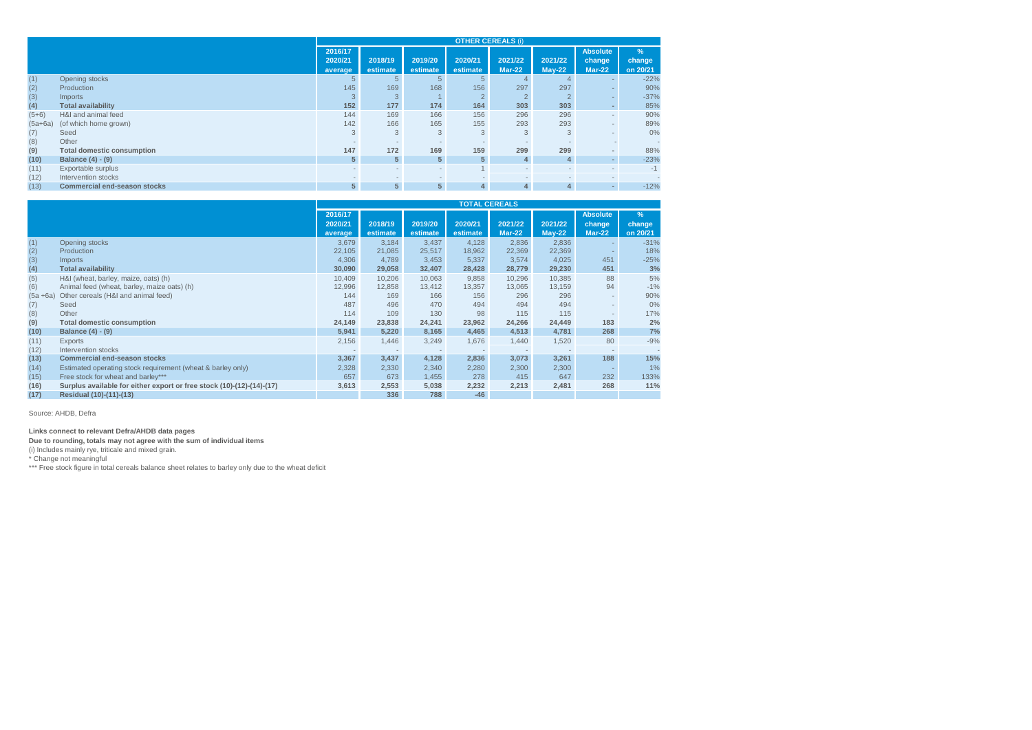|           |                                     | <b>OTHER CEREALS (i)</b> |                |                         |                          |                          |                          |                          |               |  |  |  |
|-----------|-------------------------------------|--------------------------|----------------|-------------------------|--------------------------|--------------------------|--------------------------|--------------------------|---------------|--|--|--|
|           |                                     | 2016/17                  |                |                         |                          |                          |                          | Absolute                 | $\frac{9}{6}$ |  |  |  |
|           |                                     | 2020/21                  | 2018/19        | 2019/20                 | 2020/21                  | 2021/22                  | 2021/22                  | change                   | change        |  |  |  |
|           |                                     | average                  | estimate       | estimate                | estimate                 | $Mar-22$                 | $May-22$                 | $Mar-22$                 | on 20/21      |  |  |  |
| (1)       | Opening stocks                      | 5                        |                |                         | $5 -$                    |                          |                          |                          | $-22%$        |  |  |  |
| (2)       | Production                          | 145                      | 169            | 168                     | 156                      | 297                      | 297                      |                          | 90%           |  |  |  |
| (3)       | <i>Imports</i>                      | 3                        | 3              |                         |                          |                          |                          |                          | $-37%$        |  |  |  |
| (4)       | <b>Total availability</b>           | 152                      | 177            | 174                     | 164                      | 303                      | 303                      |                          | 85%           |  |  |  |
| $(5+6)$   | H&I and animal feed                 | 144                      | 169            | 166                     | 156                      | 296                      | 296                      |                          | 90%           |  |  |  |
| $(5a+6a)$ | (of which home grown)               | 142                      | 166            | 165                     | 155                      | 293                      | 293                      |                          | 89%           |  |  |  |
| (7)       | Seed                                | 3                        | 3              | 3                       | 3                        | 3                        | 3                        |                          | 0%            |  |  |  |
| (8)       | Other                               |                          |                |                         |                          |                          |                          |                          |               |  |  |  |
| (9)       | <b>Total domestic consumption</b>   | 147                      | 172            | 169                     | 159                      | 299                      | 299                      |                          | 88%           |  |  |  |
| (10)      | Balance (4) - (9)                   | 5 <sup>5</sup>           | 5 <sup>5</sup> | 5 <sup>5</sup>          | 5 <sup>1</sup>           | 4                        | 4                        |                          | $-23%$        |  |  |  |
| (11)      | Exportable surplus                  |                          |                | $\sim$                  |                          | $\overline{\phantom{a}}$ | $\sim$                   | $\overline{\phantom{a}}$ | $-1$          |  |  |  |
| (12)      | Intervention stocks                 | $\sim$                   | $\sim$         | $\qquad \qquad =\qquad$ | $\overline{\phantom{a}}$ | $-$                      | $\overline{\phantom{a}}$ | $\sim$                   |               |  |  |  |
| (13)      | <b>Commercial end-season stocks</b> | 5 <sup>1</sup>           | 5 <sup>5</sup> | 5 <sup>5</sup>          | 4                        | $\overline{4}$           | 4                        | $\blacksquare$           | $-12%$        |  |  |  |

|             |                                                                       | <b>TOTAL CEREALS</b> |          |                          |          |                          |                          |                 |          |  |  |
|-------------|-----------------------------------------------------------------------|----------------------|----------|--------------------------|----------|--------------------------|--------------------------|-----------------|----------|--|--|
|             |                                                                       | 2016/17              |          |                          |          |                          |                          | <b>Absolute</b> | $\%$     |  |  |
|             |                                                                       | 2020/21              | 2018/19  | 2019/20                  | 2020/21  | 2021/22                  | 2021/22                  | change          | change   |  |  |
|             |                                                                       | average              | estimate | estimate                 | estimate | <b>Mar-22</b>            | $May-22$                 | $Mar-22$        | on 20/21 |  |  |
| (1)         | Opening stocks                                                        | 3,679                | 3.184    | 3.437                    | 4.128    | 2,836                    | 2,836                    |                 | $-31%$   |  |  |
| (2)         | Production                                                            | 22,105               | 21,085   | 25,517                   | 18,962   | 22,369                   | 22,369                   |                 | 18%      |  |  |
| (3)         | <b>Imports</b>                                                        | 4,306                | 4,789    | 3,453                    | 5,337    | 3.574                    | 4,025                    | 451             | $-25%$   |  |  |
| (4)         | <b>Total availability</b>                                             | 30,090               | 29,058   | 32,407                   | 28,428   | 28,779                   | 29,230                   | 451             | 3%       |  |  |
| (5)         | H&I (wheat, barley, maize, oats) (h)                                  | 10.409               | 10,206   | 10.063                   | 9,858    | 10.296                   | 10,385                   | 88              | 5%       |  |  |
| (6)         | Animal feed (wheat, barley, maize oats) (h)                           | 12,996               | 12,858   | 13.412                   | 13.357   | 13.065                   | 13,159                   | 94              | $-1%$    |  |  |
| $(5a + 6a)$ | Other cereals (H&I and animal feed)                                   | 144                  | 169      | 166                      | 156      | 296                      | 296                      |                 | 90%      |  |  |
| (7)         | Seed                                                                  | 487                  | 496      | 470                      | 494      | 494                      | 494                      |                 | 0%       |  |  |
| (8)         | Other                                                                 | 114                  | 109      | 130                      | 98       | 115                      | 115                      |                 | 17%      |  |  |
| (9)         | <b>Total domestic consumption</b>                                     | 24,149               | 23,838   | 24,241                   | 23,962   | 24,266                   | 24,449                   | 183             | 2%       |  |  |
| (10)        | Balance (4) - (9)                                                     | 5,941                | 5,220    | 8,165                    | 4,465    | 4,513                    | 4,781                    | 268             | 7%       |  |  |
| (11)        | Exports                                                               | 2,156                | 1,446    | 3,249                    | 1,676    | 1,440                    | 1,520                    | 80              | $-9%$    |  |  |
| (12)        | Intervention stocks                                                   |                      |          | $\overline{\phantom{a}}$ |          | $\overline{\phantom{a}}$ | $\overline{\phantom{a}}$ | $\sim$          | ٠        |  |  |
| (13)        | <b>Commercial end-season stocks</b>                                   | 3,367                | 3,437    | 4,128                    | 2,836    | 3.073                    | 3,261                    | 188             | 15%      |  |  |
| (14)        | Estimated operating stock requirement (wheat & barley only)           | 2,328                | 2,330    | 2,340                    | 2,280    | 2,300                    | 2,300                    |                 | 1%       |  |  |
| (15)        | Free stock for wheat and barley***                                    | 657                  | 673      | 1,455                    | 278      | 415                      | 647                      | 232             | 133%     |  |  |
| (16)        | Surplus available for either export or free stock (10)-(12)-(14)-(17) | 3,613                | 2,553    | 5,038                    | 2,232    | 2,213                    | 2,481                    | 268             | 11%      |  |  |
| (17)        | Residual (10)-(11)-(13)                                               |                      | 336      | 788                      | $-46$    |                          |                          |                 |          |  |  |

Source: AHDB, Defra

Links connect to relevant Defra/AHDB data pages<br>Due to rounding, totals may not agree with the sum of individual items<br>(i) Includes mainly rye, triticale and mixed grain.<br>\* Change not meaningful<br>\*\*\* Free stock figure in to